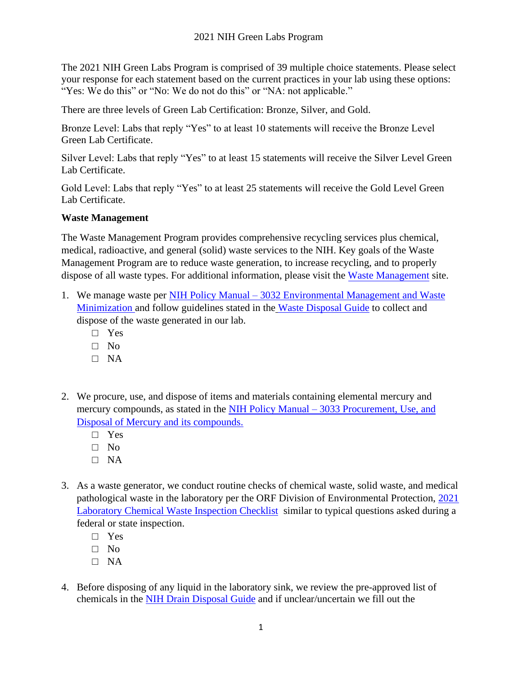The 2021 NIH Green Labs Program is comprised of 39 multiple choice statements. Please select your response for each statement based on the current practices in your lab using these options: "Yes: We do this" or "No: We do not do this" or "NA: not applicable."

There are three levels of Green Lab Certification: Bronze, Silver, and Gold.

Bronze Level: Labs that reply "Yes" to at least 10 statements will receive the Bronze Level Green Lab Certificate.

Silver Level: Labs that reply "Yes" to at least 15 statements will receive the Silver Level Green Lab Certificate.

Gold Level: Labs that reply "Yes" to at least 25 statements will receive the Gold Level Green Lab Certificate.

# **Waste Management**

The Waste Management Program provides comprehensive recycling services plus chemical, medical, radioactive, and general (solid) waste services to the NIH. Key goals of the Waste Management Program are to reduce waste generation, to increase recycling, and to properly dispose of all waste types. For additional information, please visit the [Waste Management](https://nems.nih.gov/programs/WM/Pages/default.aspx) site.

- 1. We manage waste per NIH Policy Manual [3032 Environmental Management and Waste](https://policymanual.nih.gov/3032) [Minimization](https://policymanual.nih.gov/3032) and follow guidelines stated in the [Waste Disposal Guide](https://www.orf.od.nih.gov/EnvironmentalProtection/WasteDisposal/Pages/default.aspx) to collect and dispose of the waste generated in our lab.
	- □ Yes
	- $\Box$  No
	- $\Box$  NA
- 2. We procure, use, and dispose of items and materials containing elemental mercury and mercury compounds, as stated in the NIH Policy Manual – [3033 Procurement, Use, and](https://policymanual.nih.gov/3033) [Disposal of Mercury and its compounds.](https://policymanual.nih.gov/3033)
	- □ Yes
	- $\Box$  No
	- □ NA
- 3. As a waste generator, we conduct routine checks of chemical waste, solid waste, and medical pathological waste in the laboratory per the ORF Division of Environmental Protection, [2021](https://nems.nih.gov/Documents/Chemical_Waste_Inspection_Checklist.pdf) [Laboratory Chemical Waste Inspection Checklist](https://nems.nih.gov/Documents/Chemical_Waste_Inspection_Checklist.pdf) similar to typical questions asked during a federal or state inspection.
	- □ Yes
	- □ No
	- □ NA
- 4. Before disposing of any liquid in the laboratory sink, we review the pre-approved list of chemicals in the [NIH Drain Disposal Guide](https://nems.nih.gov/programs/WM/Pages/NIH-Drain-Disposal-Guide.aspx) and if unclear/uncertain we fill out the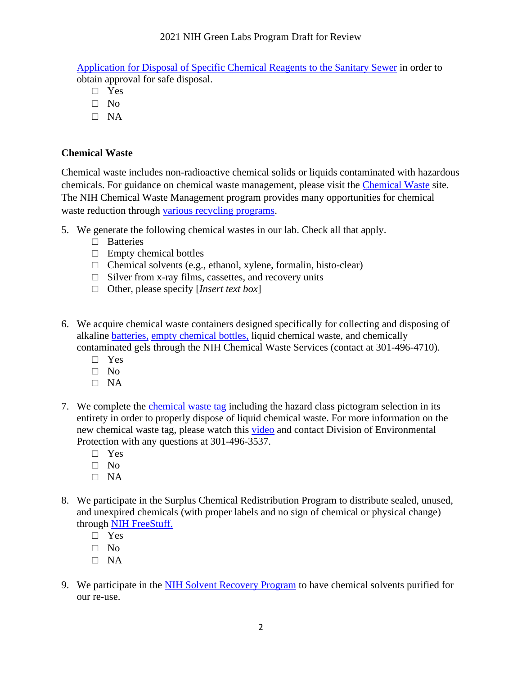# 2021 NIH Green Labs Program Draft for Review

Application [for Disposal of Specific Chemical Reagents to the Sanitary Sewer](https://spapps.od.nih.gov/sites/DEPAuthorizations/SitePages/Home.aspx) in order to obtain approval for safe disposal.

- □ Yes
- □ No
- □ NA

# **Chemical Waste**

Chemical waste includes non-radioactive chemical solids or liquids contaminated with hazardous chemicals. For guidance on chemical waste management, please visit the [Chemical Waste](https://nems.nih.gov/environmental-programs/Pages/Chemical-Waste.aspx) site. The NIH Chemical Waste Management program provides many opportunities for chemical waste reduction through various recycling [programs.](https://nems.nih.gov/programs/WM/Documents/CHEMICAL_WASTE_RECYCLING_PROGRAM.pdf)

- 5. We generate the following chemical wastes in our lab. Check all that apply.
	- □ Batteries
	- $\Box$  Empty chemical bottles
	- $\Box$  Chemical solvents (e.g., ethanol, xylene, formalin, histo-clear)
	- $\Box$  Silver from x-ray films, cassettes, and recovery units
	- □ Other, please specify [*Insert text box*]
- 6. We acquire chemical waste containers designed specifically for collecting and disposing of alkaline [batteries,](https://nems.nih.gov/programs/WM/Documents/BATTERY_RECYCLING.pdf) [empty chemical bottles,](https://nems.nih.gov/programs/WM/Documents/EMPTY_CHEMICAL_BOTTLES_RECYCLING.pdf) liquid chemical waste, and chemically contaminated gels through the NIH Chemical Waste Services (contact at 301-496-4710).
	- □ Yes
	- □ No
	- $\Box$  NA
- 7. We complete the [chemical waste tag](https://nems.nih.gov/Documents/Chemical_Waste_Tag_Guidance.pdf#search=chemical%20waste%20tag) including the hazard class pictogram selection in its entirety in order to properly dispose of liquid chemical waste. For more information on the new chemical waste tag, please watch this [video](https://web.microsoftstream.com/video/9dd64aaa-e811-4c1e-99a6-55a53f5871fa) and contact Division of Environmental Protection with any questions at 301-496-3537.
	- □ Yes
	- □ No
	- □ NA
- 8. We participate in the Surplus Chemical Redistribution Program to distribute sealed, unused, and unexpired chemicals (with proper labels and no sign of chemical or physical change) through [NIH FreeStuff.](https://stuff.nih.gov/Pages/Home.aspx)
	- □ Yes
	- □ No
	- $\Box$  NA
- 9. We participate in the [NIH Solvent Recovery Program](https://nems.nih.gov/programs/WM/Documents/Solvent_Recovery.pdf) to have chemical solvents purified for our re-use.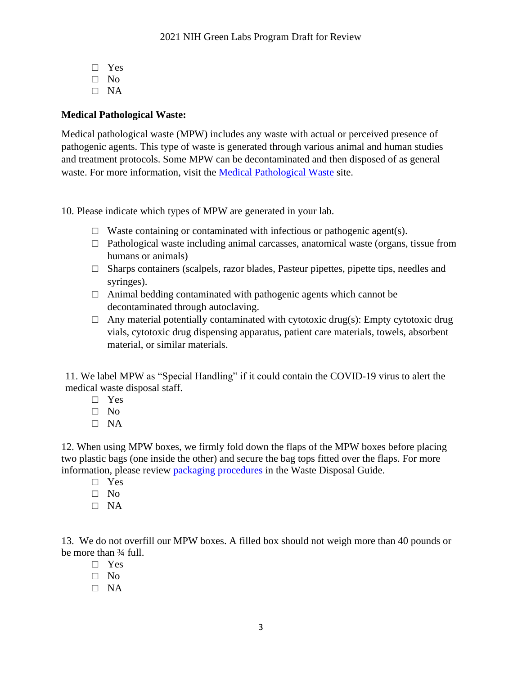- □ Yes  $\Box$  No
- □ NA

# **Medical Pathological Waste:**

Medical pathological waste (MPW) includes any waste with actual or perceived presence of pathogenic agents. This type of waste is generated through various animal and human studies and treatment protocols. Some MPW can be decontaminated and then disposed of as general waste. For more information, visit the [Medical Pathological Waste](https://nems.nih.gov/environmental-programs/Pages/Medical-Pathological-Waste.aspx) site.

10. Please indicate which types of MPW are generated in your lab.

- $\Box$  Waste containing or contaminated with infectious or pathogenic agent(s).
- □ Pathological waste including animal carcasses, anatomical waste (organs, tissue from humans or animals)
- $\Box$  Sharps containers (scalpels, razor blades, Pasteur pipettes, pipette tips, needles and syringes).
- $\Box$  Animal bedding contaminated with pathogenic agents which cannot be decontaminated through autoclaving.
- $\Box$  Any material potentially contaminated with cytotoxic drug(s): Empty cytotoxic drug vials, cytotoxic drug dispensing apparatus, patient care materials, towels, absorbent material, or similar materials.

11. We label MPW as "Special Handling" if it could contain the COVID-19 virus to alert the medical waste disposal staff.

- □ Yes
- □ No
- □ NA

12. When using MPW boxes, we firmly fold down the flaps of the MPW boxes before placing two plastic bags (one inside the other) and secure the bag tops fitted over the flaps. For more information, please review [packaging procedures](https://www.orf.od.nih.gov/EnvironmentalProtection/WasteDisposal/Documents/Medical_Path_Waste_9Dec2014_508.pdf) in the Waste Disposal Guide.

- □ Yes
- $\Box$  No
- □ NA

13. We do not overfill our MPW boxes. A filled box should not weigh more than 40 pounds or be more than ¾ full.

- □ Yes
- □ No
- $\Box$  NA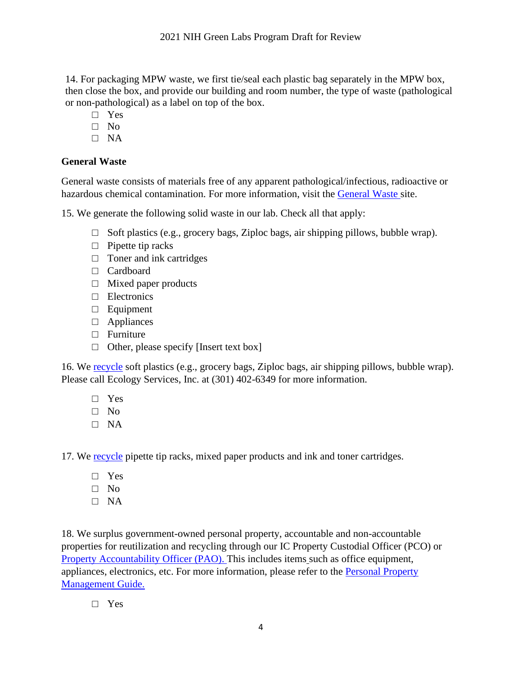14. For packaging MPW waste, we first tie/seal each plastic bag separately in the MPW box, then close the box, and provide our building and room number, the type of waste (pathological or non-pathological) as a label on top of the box.

- □ Yes
- □ No
- $\Box$  NA

# **General Waste**

General waste consists of materials free of any apparent pathological/infectious, radioactive or hazardous chemical contamination. For more information, visit the [General Waste site.](https://nems.nih.gov/environmental-programs/Pages/General-Waste.aspx)

15. We generate the following solid waste in our lab. Check all that apply:

- $\Box$  Soft plastics (e.g., grocery bags, Ziploc bags, air shipping pillows, bubble wrap).
- □ Pipette tip racks
- $\Box$  Toner and ink cartridges
- □ Cardboard
- $\Box$  Mixed paper products
- □ Electronics
- □ Equipment
- □ Appliances
- □ Furniture
- $\Box$  Other, please specify [Insert text box]

16. We [recycle](https://nems.nih.gov/environmental-programs/Pages/Additional-Recycling.aspx) soft plastics (e.g., grocery bags, Ziploc bags, air shipping pillows, bubble wrap). Please call Ecology Services, Inc. at (301) 402-6349 for more information.

- □ Yes
- □ No
- □ NA

17. We [recycle](https://nems.nih.gov/environmental-programs/Pages/Additional-Recycling.aspx) pipette tip racks, mixed paper products and ink and toner cartridges.

- □ Yes
- □ No
- □ NA

18. We surplus government-owned personal property, accountable and non-accountable properties for reutilization and recycling through our IC Property Custodial Officer (PCO) or [Property Accountability Officer \(PAO\).](https://nems.nih.gov/Documents/IC_PAO_List_Dec_2020.pdf) This includes items such as office equipment, appliances, electronics, etc. For more information, please refer to the [Personal Property](https://policymanual.nih.gov/26101-25-2-02)  [Management Guide.](https://policymanual.nih.gov/26101-25-2-02)

□ Yes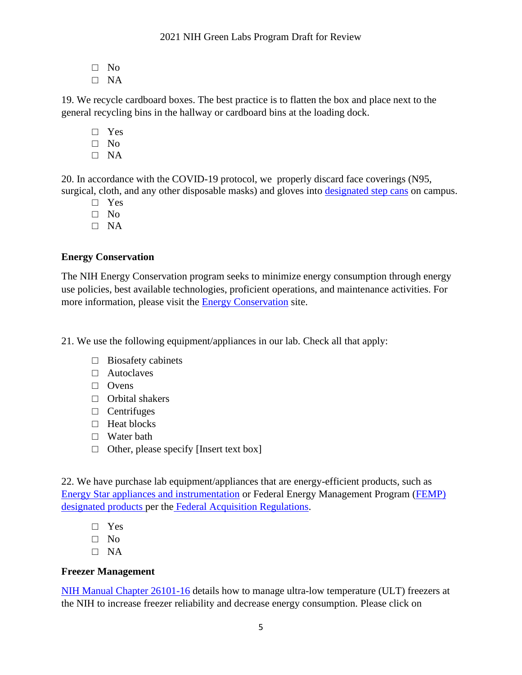- □ No
- □ NA

19. We recycle cardboard boxes. The best practice is to flatten the box and place next to the general recycling bins in the hallway or cardboard bins at the loading dock.

- □ Yes
- □ No
- □ NA

20. In accordance with the COVID-19 protocol, we properly discard face coverings (N95, surgical, cloth, and any other disposable masks) and gloves into [designated](https://nems.nih.gov/Documents/2020%20MPW%20Step%20Can%20Locations.pdf) step cans on campus.

- □ Yes
- □ No
- □ NA

### **Energy Conservation**

The NIH Energy Conservation program seeks to minimize energy consumption through energy use policies, best available technologies, proficient operations, and maintenance activities. For more information, please visit the **[Energy Conservation](https://nems.nih.gov/environmental-programs/Pages/Energy-Conservation.aspx)** site.

21. We use the following equipment/appliances in our lab. Check all that apply:

- $\Box$  Biosafety cabinets
- □ Autoclaves
- □ Ovens
- □ Orbital shakers
- □ Centrifuges
- □ Heat blocks
- □ Water bath
- $\Box$  Other, please specify [Insert text box]

22. We have purchase lab equipment/appliances that are energy-efficient products, such as [Energy Star appliances and instrumentation](https://www.energystar.gov/productfinder/) or Federal Energy Management Program [\(FEMP\)](https://www.energy.gov/eere/femp/search-energy-efficient-products) [designated products](https://www.energy.gov/eere/femp/search-energy-efficient-products) per the [Federal Acquisition Regulations.](https://www.gpo.gov/fdsys/pkg/CFR-2011-title48-vol1/pdf/CFR-2011-title48-vol1-sec23-204.pdf)

- □ Yes
- □ No
- $\Box$  NA

### **Freezer Management**

[NIH Manual Chapter 26101-16](https://policymanual.nih.gov/26101-16) details how to manage ultra-low temperature (ULT) freezers at the NIH to increase freezer reliability and decrease energy consumption. Please click on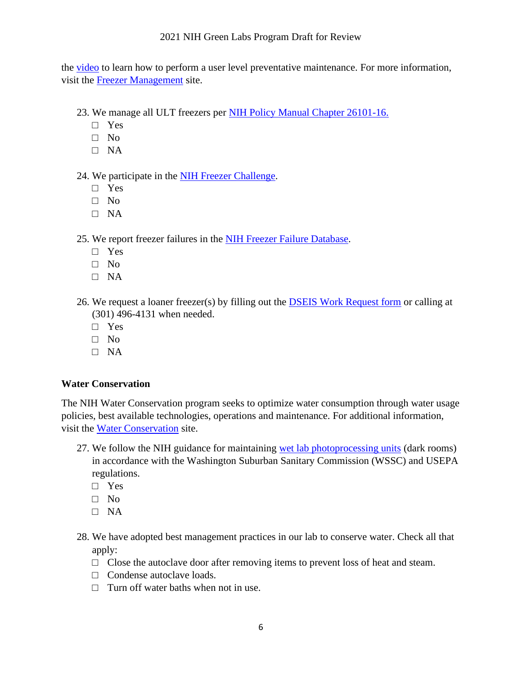#### 2021 NIH Green Labs Program Draft for Review

the [video](https://www.youtube.com/watch?v=RCxcx_Qm2X8&feature=youtu.be) to learn how to perform a user level preventative maintenance. For more information, visit the [Freezer Management](https://nems.nih.gov/programs/Pages/NIH-Ultra-Low-Temperature-Freezer-Policy.aspx) site.

- 23. We manage all ULT freezers per [NIH Policy Manual Chapter 26101-16.](https://policymanual.nih.gov/26101-16)
	- □ Yes
	- $\neg$  No
	- □ NA

#### 24. We participate in the [NIH Freezer Challenge.](https://nems.nih.gov/programs/Pages/Freezer-Challenge.aspx)

- □ Yes
- □ No
- □ NA

25. We report freezer failures in the [NIH Freezer Failure Database.](https://orfweb.od.nih.gov/sites/dep/ULTFFT/Lists/ULT%20Freezer%20Failure%20Tracker/NewForm.aspx?Source=https%3A%2F%2Forfweb%2Eod%2Enih%2Egov%2Fsites%2Fdep%2FULTFFT%2FLists%2FULT%2520Freezer%2520Failure%2520Tracker%2Foverview%2Easpx)

- □ Yes
- $\neg$  No
- □ NA
- 26. We request a loaner freezer(s) by filling out the [DSEIS Work Request form](http://serp.od.nih.gov/dseis/) or calling at (301) 496-4131 when needed.
	- □ Yes
	- $\Box$  No
	- □ NA

#### **Water Conservation**

The NIH Water Conservation program seeks to optimize water consumption through water usage policies, best available technologies, operations and maintenance. For additional information, visit the [Water Conservation](https://nems.nih.gov/environmental-programs/Pages/Water-Conservation.aspx) site.

- 27. We follow the NIH guidance for maintaining [wet lab photoprocessing units](https://nems.nih.gov/environmental-programs/Pages/Photographic-Dark-Rooms-at-the-NIH.aspx) (dark rooms) in accordance with the Washington Suburban Sanitary Commission (WSSC) and USEPA regulations.
	- □ Yes
	- □ No
	- □ NA
- 28. We have adopted best management practices in our lab to conserve water. Check all that apply:
	- $\Box$  Close the autoclave door after removing items to prevent loss of heat and steam.
	- □ Condense autoclave loads.
	- $\Box$  Turn off water baths when not in use.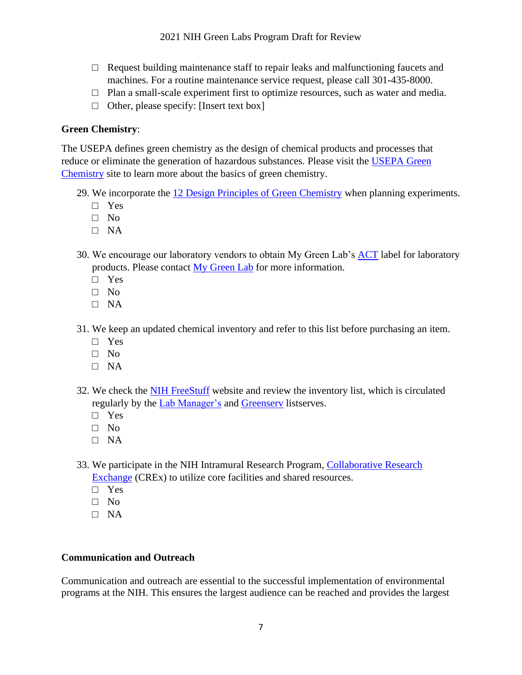- $\Box$  Request building maintenance staff to repair leaks and malfunctioning faucets and machines. For a routine maintenance service request, please call 301-435-8000.
- $\Box$  Plan a small-scale experiment first to optimize resources, such as water and media.
- $\Box$  Other, please specify: [Insert text box]

# **Green Chemistry**:

The USEPA defines green chemistry as the design of chemical products and processes that reduce or eliminate the generation of hazardous substances. Please visit the [USEPA Green](https://www.epa.gov/greenchemistry)  [Chemistry](https://www.epa.gov/greenchemistry) site to learn more about the basics of green chemistry.

- 29. We incorporate the [12 Design Principles of Green Chemistry](https://www.acs.org/content/acs/en/greenchemistry/principles/12-principles-of-green-chemistry.html) when planning experiments.
	- □ Yes
	- $\Box$  No
	- □ NA
- 30. We encourage our laboratory vendors to obtain My Green Lab's [ACT](https://act.mygreenlab.org/) label for laboratory products. Please contact [My Green Lab](mailto:info@mygreenlab.org) for more information.
	- □ Yes
	- □ No
	- $\Box$  NA
- 31. We keep an updated chemical inventory and refer to this list before purchasing an item.
	- □ Yes
	- □ No
	- □ NA
- 32. We check the [NIH FreeStuff](https://stuff.nih.gov/Pages/Home.aspx) website and review the inventory list, which is circulated regularly by the [Lab Manager's](mailto:LOCL-L@list.nih.gov) and [Greenserv](mailto:GREENSERVE-L@list.nih.gov) listserves.
	- □ Yes
	- □ No
	- □ NA
- 33. We participate in the NIH Intramural Research Program, [Collaborative Research](https://crex.nih.gov/users/sign_in)  [Exchange](https://crex.nih.gov/users/sign_in) (CREx) to utilize core facilities and shared resources.
	- □ Yes
	- □ No
	- □ NA

### **Communication and Outreach**

Communication and outreach are essential to the successful implementation of environmental programs at the NIH. This ensures the largest audience can be reached and provides the largest